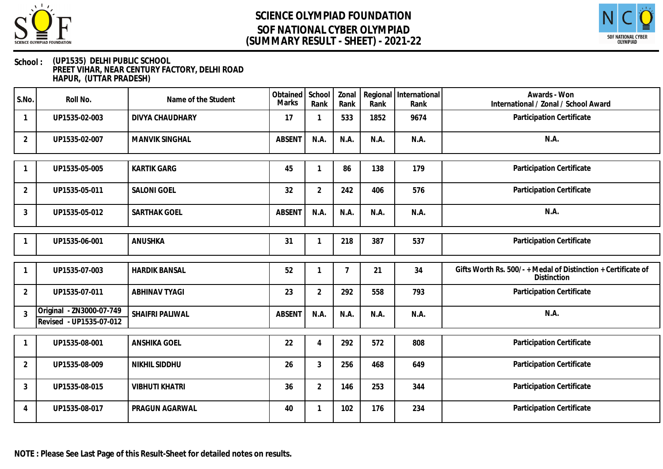



### **School : (UP1535) DELHI PUBLIC SCHOOL PREET VIHAR, NEAR CENTURY FACTORY, DELHI ROAD HAPUR, (UTTAR PRADESH)**

| S.No.          | Roll No.                                            | Name of the Student   | Obtained<br><b>Marks</b> | School<br>Rank | Zonal<br>Rank | Rank | Regional International<br>Rank | Awards - Won<br>International / Zonal / School Award                                |
|----------------|-----------------------------------------------------|-----------------------|--------------------------|----------------|---------------|------|--------------------------------|-------------------------------------------------------------------------------------|
| $\mathbf{1}$   | UP1535-02-003                                       | DIVYA CHAUDHARY       | 17                       | 1              | 533           | 1852 | 9674                           | Participation Certificate                                                           |
| 2              | UP1535-02-007                                       | <b>MANVIK SINGHAL</b> | <b>ABSENT</b>            | N.A.           | N.A.          | N.A. | N.A.                           | N.A.                                                                                |
|                | UP1535-05-005                                       | <b>KARTIK GARG</b>    | 45                       |                | 86            | 138  | 179                            | Participation Certificate                                                           |
| $\overline{2}$ | UP1535-05-011                                       | <b>SALONI GOEL</b>    | 32                       | $\overline{2}$ | 242           | 406  | 576                            | Participation Certificate                                                           |
| 3              | UP1535-05-012                                       | SARTHAK GOEL          | <b>ABSENT</b>            | N.A.           | N.A.          | N.A. | N.A.                           | N.A.                                                                                |
|                | UP1535-06-001                                       | ANUSHKA               | 31                       |                | 218           | 387  | 537                            | Participation Certificate                                                           |
|                | UP1535-07-003                                       | <b>HARDIK BANSAL</b>  | 52                       |                | 7             | 21   | 34                             | Gifts Worth Rs. 500/- + Medal of Distinction + Certificate of<br><b>Distinction</b> |
| $\overline{2}$ | UP1535-07-011                                       | <b>ABHINAV TYAGI</b>  | 23                       | $\overline{2}$ | 292           | 558  | 793                            | Participation Certificate                                                           |
| $\overline{3}$ | Original - ZN3000-07-749<br>Revised - UP1535-07-012 | SHAIFRI PALIWAL       | <b>ABSENT</b>            | N.A.           | N.A.          | N.A. | N.A.                           | N.A.                                                                                |
|                | UP1535-08-001                                       | <b>ANSHIKA GOEL</b>   | 22                       | 4              | 292           | 572  | 808                            | Participation Certificate                                                           |
| 2              | UP1535-08-009                                       | NIKHIL SIDDHU         | 26                       | 3              | 256           | 468  | 649                            | Participation Certificate                                                           |
| $\mathbf{3}$   | UP1535-08-015                                       | <b>VIBHUTI KHATRI</b> | 36                       | $\overline{2}$ | 146           | 253  | 344                            | Participation Certificate                                                           |
| 4              | UP1535-08-017                                       | PRAGUN AGARWAL        | 40                       |                | 102           | 176  | 234                            | Participation Certificate                                                           |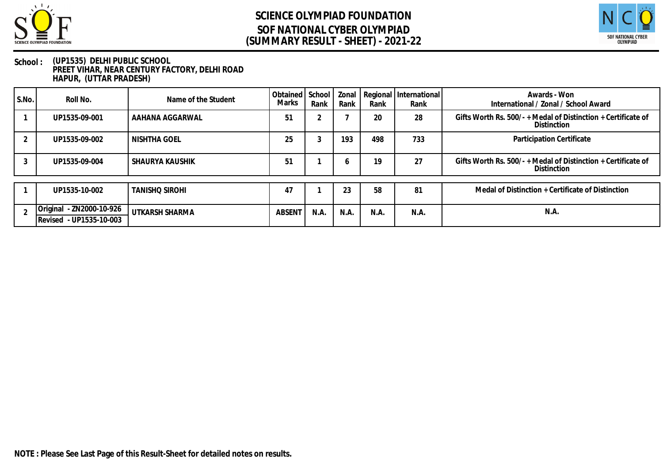



### **School : (UP1535) DELHI PUBLIC SCHOOL PREET VIHAR, NEAR CENTURY FACTORY, DELHI ROAD HAPUR, (UTTAR PRADESH)**

| S.No. | Roll No.                 | Name of the Student   | Obtained<br>Marks | School<br>Rank | Zonal<br>Rank | Rank | Regional   International<br>Rank | Awards - Won<br>International / Zonal / School Award                             |
|-------|--------------------------|-----------------------|-------------------|----------------|---------------|------|----------------------------------|----------------------------------------------------------------------------------|
|       | UP1535-09-001            | AAHANA AGGARWAL       | 51                |                |               | 20   | 28                               | Gifts Worth Rs. 500/- $+$ Medal of Distinction $+$ Certificate of<br>Distinction |
|       | UP1535-09-002            | NISHTHA GOEL          | 25                | ۰.             | 193           | 498  | 733                              | Participation Certificate                                                        |
|       | UP1535-09-004            | l SHAURYA KAUSHIK     | 51                |                | <sup>6</sup>  | 19   | 27                               | Gifts Worth Rs. 500/- $+$ Medal of Distinction $+$ Certificate of<br>Distinction |
|       | UP1535-10-002            | <b>TANISHO SIROHI</b> | 47                |                | 23            | 58   | 81                               | Medal of Distinction + Certificate of Distinction                                |
|       |                          |                       |                   |                |               |      |                                  |                                                                                  |
|       | Original - ZN2000-10-926 | UTKARSH SHARMA        | <b>ABSENT</b>     | N.A.           | N.A.          | N.A. | N.A.                             | N.A.                                                                             |
|       | Revised - UP1535-10-003  |                       |                   |                |               |      |                                  |                                                                                  |